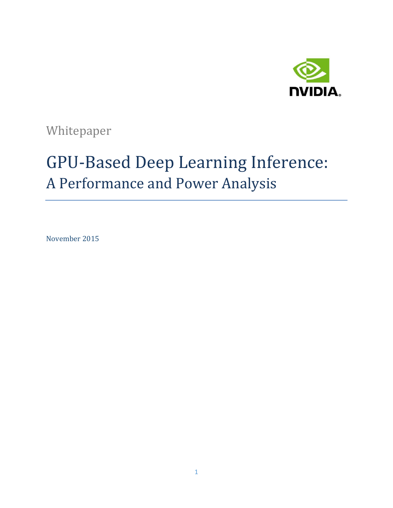

Whitepaper

# GPU-Based Deep Learning Inference: A Performance and Power Analysis

November 2015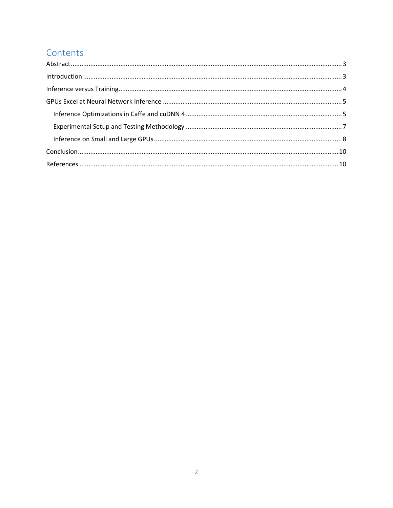# Contents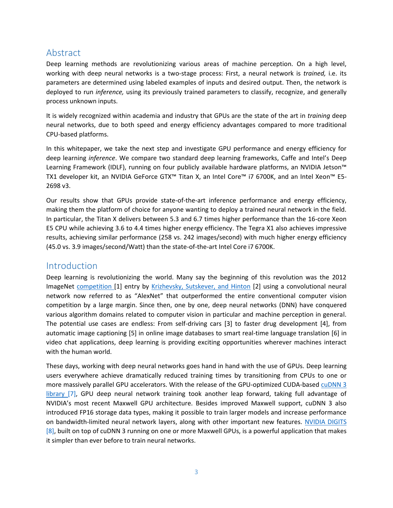## <span id="page-2-0"></span>Abstract

Deep learning methods are revolutionizing various areas of machine perception. On a high level, working with deep neural networks is a two-stage process: First, a neural network is *trained,* i.e. its parameters are determined using labeled examples of inputs and desired output. Then, the network is deployed to run *inference,* using its previously trained parameters to classify, recognize, and generally process unknown inputs.

It is widely recognized within academia and industry that GPUs are the state of the art in *training* deep neural networks, due to both speed and energy efficiency advantages compared to more traditional CPU-based platforms.

In this whitepaper, we take the next step and investigate GPU performance and energy efficiency for deep learning *inference*. We compare two standard deep learning frameworks, Caffe and Intel's Deep Learning Framework (IDLF), running on four publicly available hardware platforms, an NVIDIA Jetson™ TX1 developer kit, an NVIDIA GeForce GTX™ Titan X, an Intel Core™ i7 6700K, and an Intel Xeon™ E5- 2698 v3.

Our results show that GPUs provide state-of-the-art inference performance and energy efficiency, making them the platform of choice for anyone wanting to deploy a trained neural network in the field. In particular, the Titan X delivers between 5.3 and 6.7 times higher performance than the 16-core Xeon E5 CPU while achieving 3.6 to 4.4 times higher energy efficiency. The Tegra X1 also achieves impressive results, achieving similar performance (258 vs. 242 images/second) with much higher energy efficiency (45.0 vs. 3.9 images/second/Watt) than the state-of-the-art Intel Core i7 6700K.

## <span id="page-2-1"></span>Introduction

Deep learning is revolutionizing the world. Many say the beginning of this revolution was the 2012 ImageNet [competition](http://image-net.org/challenges/LSVRC/) [1] entry by [Krizhevsky, Sutskever, and Hinton](http://www.cs.toronto.edu/~fritz/absps/imagenet.pdf) [2] using a convolutional neural network now referred to as "AlexNet" that outperformed the entire conventional computer vision competition by a large margin. Since then, one by one, deep neural networks (DNN) have conquered various algorithm domains related to computer vision in particular and machine perception in general. The potential use cases are endless: From self-driving cars [3] to faster drug development [4], from automatic image captioning [5] in online image databases to smart real-time language translation [6] in video chat applications, deep learning is providing exciting opportunities wherever machines interact with the human world.

These days, working with deep neural networks goes hand in hand with the use of GPUs. Deep learning users everywhere achieve dramatically reduced training times by transitioning from CPUs to one or more massively parallel GPU accelerators. With the release of the GPU-optimized CUDA-based [cuDNN 3](https://developer.nvidia.com/cudnn) library [7], GPU deep neural network training took another leap forward, taking full advantage of NVIDIA's most recent Maxwell GPU architecture. Besides improved Maxwell support, cuDNN 3 also introduced FP16 storage data types, making it possible to train larger models and increase performance on bandwidth-limited neural network layers, along with other important new features. [NVIDIA DIGITS](https://developer.nvidia.com/digits) [8], built on top of cuDNN 3 running on one or more Maxwell GPUs, is a powerful application that makes it simpler than ever before to train neural networks.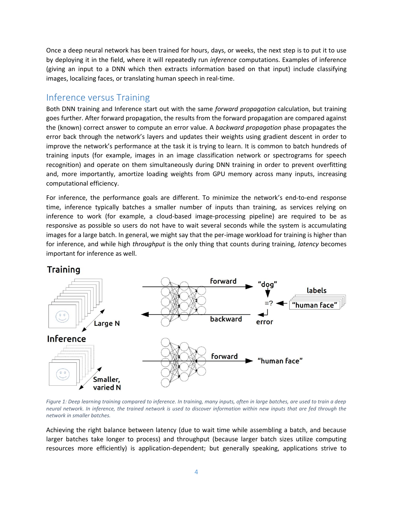Once a deep neural network has been trained for hours, days, or weeks, the next step is to put it to use by deploying it in the field, where it will repeatedly run *inference* computations. Examples of inference (giving an input to a DNN which then extracts information based on that input) include classifying images, localizing faces, or translating human speech in real-time.

## <span id="page-3-0"></span>Inference versus Training

Both DNN training and Inference start out with the same *forward propagation* calculation, but training goes further. After forward propagation, the results from the forward propagation are compared against the (known) correct answer to compute an error value. A *backward propagation* phase propagates the error back through the network's layers and updates their weights using gradient descent in order to improve the network's performance at the task it is trying to learn. It is common to batch hundreds of training inputs (for example, images in an image classification network or spectrograms for speech recognition) and operate on them simultaneously during DNN training in order to prevent overfitting and, more importantly, amortize loading weights from GPU memory across many inputs, increasing computational efficiency.

For inference, the performance goals are different. To minimize the network's end-to-end response time, inference typically batches a smaller number of inputs than training, as services relying on inference to work (for example, a cloud-based image-processing pipeline) are required to be as responsive as possible so users do not have to wait several seconds while the system is accumulating images for a large batch. In general, we might say that the per-image workload for training is higher than for inference, and while high *throughput* is the only thing that counts during training, *latency* becomes important for inference as well.

## Training



*Figure 1: Deep learning training compared to inference. In training, many inputs, often in large batches, are used to train a deep neural network. In inference, the trained network is used to discover information within new inputs that are fed through the network in smaller batches.*

Achieving the right balance between latency (due to wait time while assembling a batch, and because larger batches take longer to process) and throughput (because larger batch sizes utilize computing resources more efficiently) is application-dependent; but generally speaking, applications strive to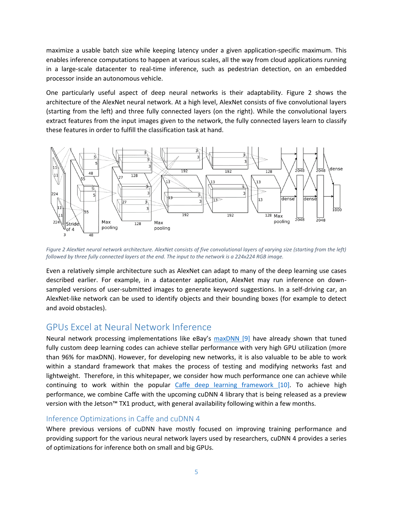maximize a usable batch size while keeping latency under a given application-specific maximum. This enables inference computations to happen at various scales, all the way from cloud applications running in a large-scale datacenter to real-time inference, such as pedestrian detection, on an embedded processor inside an autonomous vehicle.

One particularly useful aspect of deep neural networks is their adaptability. [Figure 2](#page-4-2) shows the architecture of the AlexNet neural network. At a high level, AlexNet consists of five convolutional layers (starting from the left) and three fully connected layers (on the right). While the convolutional layers extract features from the input images given to the network, the fully connected layers learn to classify these features in order to fulfill the classification task at hand.



<span id="page-4-2"></span>*Figure 2 AlexNet neural network architecture. AlexNet consists of five convolutional layers of varying size (starting from the left) followed by three fully connected layers at the end. The input to the network is a 224x224 RGB image.*

Even a relatively simple architecture such as AlexNet can adapt to many of the deep learning use cases described earlier. For example, in a datacenter application, AlexNet may run inference on downsampled versions of user-submitted images to generate keyword suggestions. In a self-driving car, an AlexNet-like network can be used to identify objects and their bounding boxes (for example to detect and avoid obstacles).

## <span id="page-4-0"></span>GPUs Excel at Neural Network Inference

Neural network processing implementations like eBay's [maxDNN](https://github.com/eBay/maxDNN) [9] have already shown that tuned fully custom deep learning codes can achieve stellar performance with very high GPU utilization (more than 96% for maxDNN). However, for developing new networks, it is also valuable to be able to work within a standard framework that makes the process of testing and modifying networks fast and lightweight. Therefore, in this whitepaper, we consider how much performance one can achieve while continuing to work within the popular [Caffe deep learning framework](http://devblogs.nvidia.com/parallelforall/deep-learning-computer-vision-caffe-cudnn/) [10]. To achieve high performance, we combine Caffe with the upcoming cuDNN 4 library that is being released as a preview version with the Jetson™ TX1 product, with general availability following within a few months.

#### <span id="page-4-1"></span>Inference Optimizations in Caffe and cuDNN 4

Where previous versions of cuDNN have mostly focused on improving training performance and providing support for the various neural network layers used by researchers, cuDNN 4 provides a series of optimizations for inference both on small and big GPUs.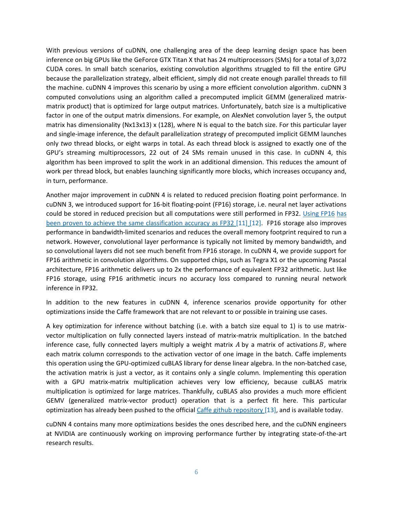With previous versions of cuDNN, one challenging area of the deep learning design space has been inference on big GPUs like the GeForce GTX Titan X that has 24 multiprocessors (SMs) for a total of 3,072 CUDA cores. In small batch scenarios, existing convolution algorithms struggled to fill the entire GPU because the parallelization strategy, albeit efficient, simply did not create enough parallel threads to fill the machine. cuDNN 4 improves this scenario by using a more efficient convolution algorithm. cuDNN 3 computed convolutions using an algorithm called a precomputed implicit GEMM (generalized matrixmatrix product) that is optimized for large output matrices. Unfortunately, batch size is a multiplicative factor in one of the output matrix dimensions. For example, on AlexNet convolution layer 5, the output matrix has dimensionality (Nx13x13) x (128), where N is equal to the batch size. For this particular layer and single-image inference, the default parallelization strategy of precomputed implicit GEMM launches only *two* thread blocks, or eight warps in total. As each thread block is assigned to exactly one of the GPU's streaming multiprocessors, 22 out of 24 SMs remain unused in this case. In cuDNN 4, this algorithm has been improved to split the work in an additional dimension. This reduces the amount of work per thread block, but enables launching significantly more blocks, which increases occupancy and, in turn, performance.

Another major improvement in cuDNN 4 is related to reduced precision floating point performance. In cuDNN 3, we introduced support for 16-bit floating-point (FP16) storage, i.e. neural net layer activations could be stored in reduced precision but all computations were still performed in FP32. [Using FP16](http://stanford.edu/~rezab/nips2014workshop/slides/jeff.pdf) has [been proven to achieve the same classification accuracy as FP32](http://arxiv.org/pdf/1502.02551.pdf) [11] [12]. FP16 storage also improves performance in bandwidth-limited scenarios and reduces the overall memory footprint required to run a network. However, convolutional layer performance is typically not limited by memory bandwidth, and so convolutional layers did not see much benefit from FP16 storage. In cuDNN 4, we provide support for FP16 arithmetic in convolution algorithms. On supported chips, such as Tegra X1 or the upcoming Pascal architecture, FP16 arithmetic delivers up to 2x the performance of equivalent FP32 arithmetic. Just like FP16 storage, using FP16 arithmetic incurs no accuracy loss compared to running neural network inference in FP32.

In addition to the new features in cuDNN 4, inference scenarios provide opportunity for other optimizations inside the Caffe framework that are not relevant to or possible in training use cases.

A key optimization for inference without batching (i.e. with a batch size equal to 1) is to use matrixvector multiplication on fully connected layers instead of matrix-matrix multiplication. In the batched inference case, fully connected layers multiply a weight matrix  $A$  by a matrix of activations  $B$ , where each matrix column corresponds to the activation vector of one image in the batch. Caffe implements this operation using the GPU-optimized cuBLAS library for dense linear algebra. In the non-batched case, the activation matrix is just a vector, as it contains only a single column. Implementing this operation with a GPU matrix-matrix multiplication achieves very low efficiency, because cuBLAS matrix multiplication is optimized for large matrices. Thankfully, cuBLAS also provides a much more efficient GEMV (generalized matrix-vector product) operation that is a perfect fit here. This particular optimization has already been pushed to the official Caffe [github repository](https://github.com/BVLC/caffe) [13], and is available today.

cuDNN 4 contains many more optimizations besides the ones described here, and the cuDNN engineers at NVIDIA are continuously working on improving performance further by integrating state-of-the-art research results.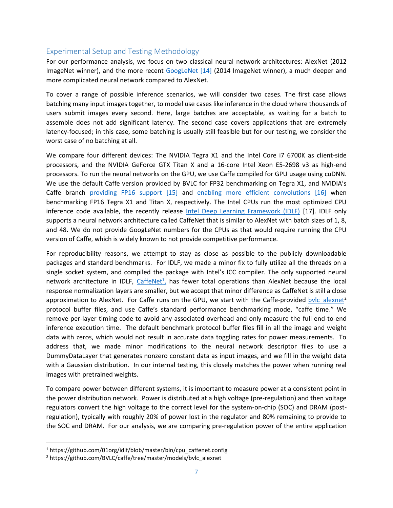### <span id="page-6-0"></span>Experimental Setup and Testing Methodology

For our performance analysis, we focus on two classical neural network architectures: AlexNet (2012 ImageNet winner), and the more recent [GoogLeNet](http://arxiv.org/abs/1409.4842) [14] (2014 ImageNet winner), a much deeper and more complicated neural network compared to AlexNet.

To cover a range of possible inference scenarios, we will consider two cases. The first case allows batching many input images together, to model use cases like inference in the cloud where thousands of users submit images every second. Here, large batches are acceptable, as waiting for a batch to assemble does not add significant latency. The second case covers applications that are extremely latency-focused; in this case, some batching is usually still feasible but for our testing, we consider the worst case of no batching at all.

We compare four different devices: The NVIDIA Tegra X1 and the Intel Core i7 6700K as client-side processors, and the NVIDIA GeForce GTX Titan X and a 16-core Intel Xeon E5-2698 v3 as high-end processors. To run the neural networks on the GPU, we use Caffe compiled for GPU usage using cuDNN. We use the default Caffe version provided by BVLC for FP32 benchmarking on Tegra X1, and NVIDIA's Caffe branch [providing FP16 support](https://github.com/NVIDIA/caffe/tree/experimental/fp16) [15] and [enabling more efficient convolutions](https://github.com/NVIDIA/caffe/tree/caffe-0.14) [16] when benchmarking FP16 Tegra X1 and Titan X, respectively. The Intel CPUs run the most optimized CPU inference code available, the recently release [Intel Deep Learning Framework \(IDLF\)](https://01.org/intel-deep-learning-framework) [17]. IDLF only supports a neural network architecture called CaffeNet that is similar to AlexNet with batch sizes of 1, 8, and 48. We do not provide GoogLeNet numbers for the CPUs as that would require running the CPU version of Caffe, which is widely known to not provide competitive performance.

For reproducibility reasons, we attempt to stay as close as possible to the publicly downloadable packages and standard benchmarks. For IDLF, we made a minor fix to fully utilize all the threads on a single socket system, and compiled the package with Intel's ICC compiler. The only supported neural network architecture in IDLF, [CaffeNet](https://github.com/01org/idlf/blob/master/bin/cpu_caffenet.config)<sup>1</sup>, has fewer total operations than AlexNet because the local response normalization layers are smaller, but we accept that minor difference as CaffeNet is still a close approximation to AlexNet. For Caffe runs on the GPU, we start with the Caffe-provided bylc alexnet<sup>2</sup> protocol buffer files, and use Caffe's standard performance benchmarking mode, "caffe time." We remove per-layer timing code to avoid any associated overhead and only measure the full end-to-end inference execution time. The default benchmark protocol buffer files fill in all the image and weight data with zeros, which would not result in accurate data toggling rates for power measurements. To address that, we made minor modifications to the neural network descriptor files to use a DummyDataLayer that generates nonzero constant data as input images, and we fill in the weight data with a Gaussian distribution. In our internal testing, this closely matches the power when running real images with pretrained weights.

To compare power between different systems, it is important to measure power at a consistent point in the power distribution network. Power is distributed at a high voltage (pre-regulation) and then voltage regulators convert the high voltage to the correct level for the system-on-chip (SOC) and DRAM (postregulation), typically with roughly 20% of power lost in the regulator and 80% remaining to provide to the SOC and DRAM. For our analysis, we are comparing pre-regulation power of the entire application

l

 $1$  https://github.com/01org/idlf/blob/master/bin/cpu\_caffenet.config

<sup>&</sup>lt;sup>2</sup> https://github.com/BVLC/caffe/tree/master/models/bvlc\_alexnet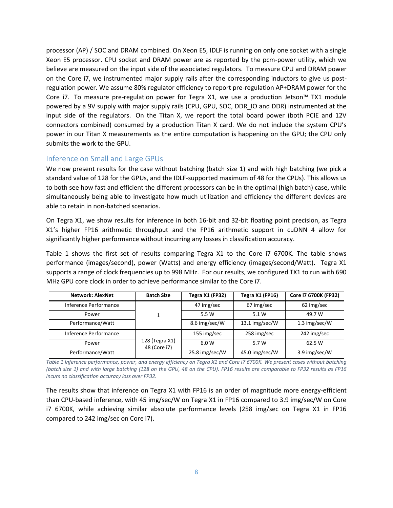processor (AP) / SOC and DRAM combined. On Xeon E5, IDLF is running on only one socket with a single Xeon E5 processor. CPU socket and DRAM power are as reported by the pcm-power utility, which we believe are measured on the input side of the associated regulators. To measure CPU and DRAM power on the Core i7, we instrumented major supply rails after the corresponding inductors to give us postregulation power. We assume 80% regulator efficiency to report pre-regulation AP+DRAM power for the Core i7. To measure pre-regulation power for Tegra X1, we use a production Jetson™ TX1 module powered by a 9V supply with major supply rails (CPU, GPU, SOC, DDR\_IO and DDR) instrumented at the input side of the regulators. On the Titan X, we report the total board power (both PCIE and 12V connectors combined) consumed by a production Titan X card. We do not include the system CPU's power in our Titan X measurements as the entire computation is happening on the GPU; the CPU only submits the work to the GPU.

#### <span id="page-7-0"></span>Inference on Small and Large GPUs

We now present results for the case without batching (batch size 1) and with high batching (we pick a standard value of 128 for the GPUs, and the IDLF-supported maximum of 48 for the CPUs). This allows us to both see how fast and efficient the different processors can be in the optimal (high batch) case, while simultaneously being able to investigate how much utilization and efficiency the different devices are able to retain in non-batched scenarios.

On Tegra X1, we show results for inference in both 16-bit and 32-bit floating point precision, as Tegra X1's higher FP16 arithmetic throughput and the FP16 arithmetic support in cuDNN 4 allow for significantly higher performance without incurring any losses in classification accuracy.

Table 1 shows the first set of results comparing Tegra X1 to the Core i7 6700K. The table shows performance (images/second), power (Watts) and energy efficiency (images/second/Watt). Tegra X1 supports a range of clock frequencies up to 998 MHz. For our results, we configured TX1 to run with 690 MHz GPU core clock in order to achieve performance similar to the Core i7.

| <b>Network: AlexNet</b> | <b>Batch Size</b>              | Tegra X1 (FP32) | Tegra X1 (FP16) | Core i7 6700K (FP32) |
|-------------------------|--------------------------------|-----------------|-----------------|----------------------|
| Inference Performance   | 1                              | 47 img/sec      | 67 img/sec      | 62 img/sec           |
| Power                   |                                | 5.5 W           | 5.1 W           | 49.7 W               |
| Performance/Watt        |                                | 8.6 img/sec/W   | 13.1 img/sec/W  | 1.3 img/sec/ $W$     |
| Inference Performance   |                                | 155 img/sec     | 258 img/sec     | 242 img/sec          |
| Power                   | 128 (Tegra X1)<br>48 (Core i7) | 6.0 W           | 5.7 W           | 62.5 W               |
| Performance/Watt        |                                | 25.8 img/sec/W  | 45.0 img/sec/W  | 3.9 img/sec/W        |

*Table 1 Inference performance, power, and energy efficiency on Tegra X1 and Core i7 6700K. We present cases without batching (batch size 1) and with large batching (128 on the GPU, 48 on the CPU). FP16 results are comparable to FP32 results as FP16 incurs no classification accuracy loss over FP32.*

The results show that inference on Tegra X1 with FP16 is an order of magnitude more energy-efficient than CPU-based inference, with 45 img/sec/W on Tegra X1 in FP16 compared to 3.9 img/sec/W on Core i7 6700K, while achieving similar absolute performance levels (258 img/sec on Tegra X1 in FP16 compared to 242 img/sec on Core i7).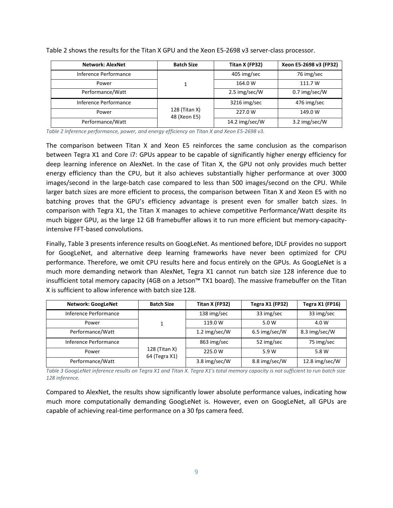| <b>Network: AlexNet</b> | <b>Batch Size</b>             | Titan X (FP32) | Xeon E5-2698 v3 (FP32) |
|-------------------------|-------------------------------|----------------|------------------------|
| Inference Performance   |                               | 405 img/sec    | 76 img/sec             |
| Power                   |                               | 164.0 W        | 111.7 W                |
| Performance/Watt        |                               | 2.5 img/sec/W  | 0.7 img/sec/W          |
| Inference Performance   |                               | 3216 img/sec   | 476 img/sec            |
| Power                   | 128 (Titan X)<br>48 (Xeon E5) | 227.0 W        | 149.0 W                |
| Performance/Watt        |                               | 14.2 img/sec/W | 3.2 img/sec/W          |

[Table 2](#page-8-0) shows the results for the Titan X GPU and the Xeon E5-2698 v3 server-class processor.

<span id="page-8-0"></span>*Table 2 Inference performance, power, and energy efficiency on Titan X and Xeon E5-2698 v3.*

The comparison between Titan X and Xeon E5 reinforces the same conclusion as the comparison between Tegra X1 and Core i7: GPUs appear to be capable of significantly higher energy efficiency for deep learning inference on AlexNet. In the case of Titan X, the GPU not only provides much better energy efficiency than the CPU, but it also achieves substantially higher performance at over 3000 images/second in the large-batch case compared to less than 500 images/second on the CPU. While larger batch sizes are more efficient to process, the comparison between Titan X and Xeon E5 with no batching proves that the GPU's efficiency advantage is present even for smaller batch sizes. In comparison with Tegra X1, the Titan X manages to achieve competitive Performance/Watt despite its much bigger GPU, as the large 12 GB framebuffer allows it to run more efficient but memory-capacityintensive FFT-based convolutions.

Finally, [Table 3](#page-8-1) presents inference results on GoogLeNet. As mentioned before, IDLF provides no support for GoogLeNet, and alternative deep learning frameworks have never been optimized for CPU performance. Therefore, we omit CPU results here and focus entirely on the GPUs. As GoogLeNet is a much more demanding network than AlexNet, Tegra X1 cannot run batch size 128 inference due to insufficient total memory capacity (4GB on a Jetson™ TX1 board). The massive framebuffer on the Titan X is sufficient to allow inference with batch size 128.

| <b>Network: GoogLeNet</b> | <b>Batch Size</b>              | Titan X (FP32) | Tegra X1 (FP32) | Tegra X1 (FP16) |
|---------------------------|--------------------------------|----------------|-----------------|-----------------|
| Inference Performance     |                                | 138 img/sec    | 33 img/sec      | 33 img/sec      |
| Power                     | 1                              | 119.0 W        | 5.0 W           | 4.0 W           |
| Performance/Watt          |                                | 1.2 img/sec/W  | 6.5 img/sec/W   | 8.3 img/sec/W   |
| Inference Performance     |                                | 863 img/sec    | 52 img/sec      | 75 img/sec      |
| Power                     | 128 (Titan X)<br>64 (Tegra X1) | 225.0 W        | 5.9 W           | 5.8 W           |
| Performance/Watt          |                                | 3.8 img/sec/W  | 8.8 img/sec/W   | 12.8 img/sec/W  |

<span id="page-8-1"></span>*Table 3 GoogLeNet inference results on Tegra X1 and Titan X. Tegra X1's total memory capacity is not sufficient to run batch size 128 inference.*

Compared to AlexNet, the results show significantly lower absolute performance values, indicating how much more computationally demanding GoogLeNet is. However, even on GoogLeNet, all GPUs are capable of achieving real-time performance on a 30 fps camera feed.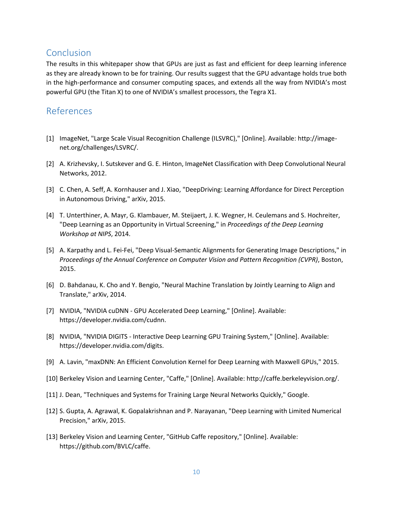## <span id="page-9-0"></span>Conclusion

The results in this whitepaper show that GPUs are just as fast and efficient for deep learning inference as they are already known to be for training. Our results suggest that the GPU advantage holds true both in the high-performance and consumer computing spaces, and extends all the way from NVIDIA's most powerful GPU (the Titan X) to one of NVIDIA's smallest processors, the Tegra X1.

## <span id="page-9-1"></span>References

- [1] ImageNet, "Large Scale Visual Recognition Challenge (ILSVRC)," [Online]. Available: http://imagenet.org/challenges/LSVRC/.
- [2] A. Krizhevsky, I. Sutskever and G. E. Hinton, ImageNet Classification with Deep Convolutional Neural Networks, 2012.
- [3] C. Chen, A. Seff, A. Kornhauser and J. Xiao, "DeepDriving: Learning Affordance for Direct Perception in Autonomous Driving," arXiv, 2015.
- [4] T. Unterthiner, A. Mayr, G. Klambauer, M. Steijaert, J. K. Wegner, H. Ceulemans and S. Hochreiter, "Deep Learning as an Opportunity in Virtual Screening," in *Proceedings of the Deep Learning Workshop at NIPS*, 2014.
- [5] A. Karpathy and L. Fei-Fei, "Deep Visual-Semantic Alignments for Generating Image Descriptions," in *Proceedings of the Annual Conference on Computer Vision and Pattern Recognition (CVPR)*, Boston, 2015.
- [6] D. Bahdanau, K. Cho and Y. Bengio, "Neural Machine Translation by Jointly Learning to Align and Translate," arXiv, 2014.
- [7] NVIDIA, "NVIDIA cuDNN GPU Accelerated Deep Learning," [Online]. Available: https://developer.nvidia.com/cudnn.
- [8] NVIDIA, "NVIDIA DIGITS Interactive Deep Learning GPU Training System," [Online]. Available: https://developer.nvidia.com/digits.
- [9] A. Lavin, "maxDNN: An Efficient Convolution Kernel for Deep Learning with Maxwell GPUs," 2015.
- [10] Berkeley Vision and Learning Center, "Caffe," [Online]. Available: http://caffe.berkeleyvision.org/.
- [11] J. Dean, "Techniques and Systems for Training Large Neural Networks Quickly," Google.
- [12] S. Gupta, A. Agrawal, K. Gopalakrishnan and P. Narayanan, "Deep Learning with Limited Numerical Precision," arXiv, 2015.
- [13] Berkeley Vision and Learning Center, "GitHub Caffe repository," [Online]. Available: https://github.com/BVLC/caffe.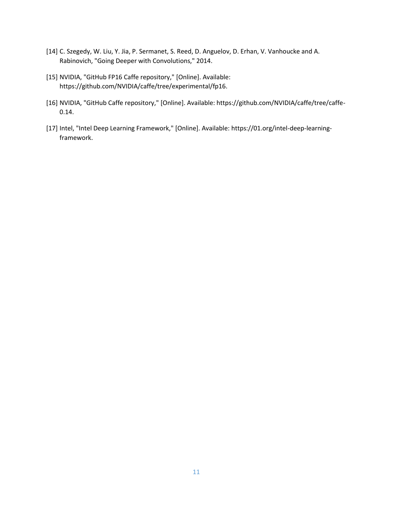- [14] C. Szegedy, W. Liu, Y. Jia, P. Sermanet, S. Reed, D. Anguelov, D. Erhan, V. Vanhoucke and A. Rabinovich, "Going Deeper with Convolutions," 2014.
- [15] NVIDIA, "GitHub FP16 Caffe repository," [Online]. Available: https://github.com/NVIDIA/caffe/tree/experimental/fp16.
- [16] NVIDIA, "GitHub Caffe repository," [Online]. Available: https://github.com/NVIDIA/caffe/tree/caffe-0.14.
- [17] Intel, "Intel Deep Learning Framework," [Online]. Available: https://01.org/intel-deep-learningframework.